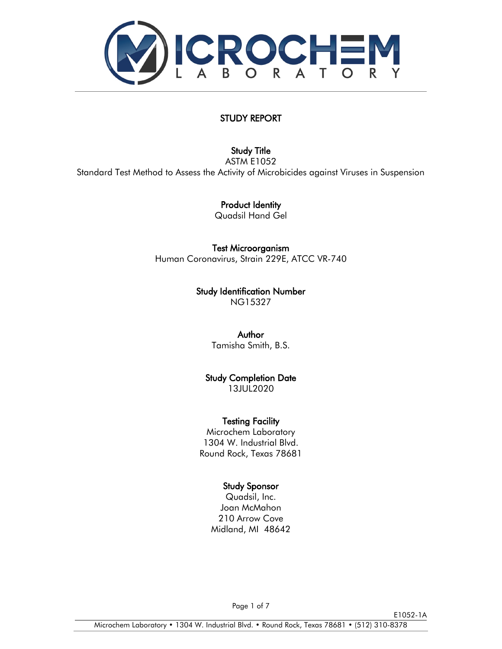

# STUDY REPORT

### [Study Title](#page-1-0)

ASTM E1052 Standard Test Method to Assess the Activity of Microbicides against Viruses in Suspension

Product Identity

Quadsil Hand Gel

Test Microorganism

Human Coronavirus, Strain 229E, ATCC VR-740

Study Identification Number NG15327

Author

Tamisha Smith, B.S.

Study Completion Date

13JUL2020

### Testing Facility

Microchem Laboratory 1304 W. Industrial Blvd. Round Rock, Texas 78681

# Study Sponsor

Quadsil, Inc. Joan McMahon 210 Arrow Cove Midland, MI 48642

E1052-1A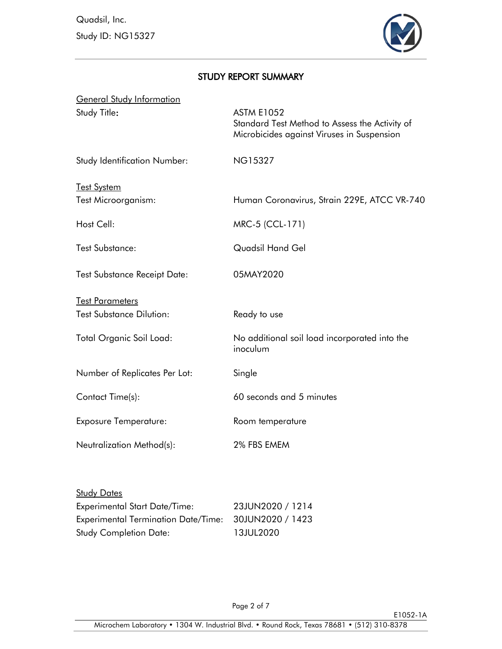Quadsil, Inc. Study ID: NG15327



# <span id="page-1-0"></span>STUDY REPORT SUMMARY

| <b>General Study Information</b>    |                                                                                                                   |
|-------------------------------------|-------------------------------------------------------------------------------------------------------------------|
| Study Title:                        | <b>ASTM E1052</b><br>Standard Test Method to Assess the Activity of<br>Microbicides against Viruses in Suspension |
| <b>Study Identification Number:</b> | <b>NG15327</b>                                                                                                    |
| <b>Test System</b>                  |                                                                                                                   |
| Test Microorganism:                 | Human Coronavirus, Strain 229E, ATCC VR-740                                                                       |
| Host Cell:                          | MRC-5 (CCL-171)                                                                                                   |
| <b>Test Substance:</b>              | Quadsil Hand Gel                                                                                                  |
| <b>Test Substance Receipt Date:</b> | 05MAY2020                                                                                                         |
| <b>Test Parameters</b>              |                                                                                                                   |
| <b>Test Substance Dilution:</b>     | Ready to use                                                                                                      |
| Total Organic Soil Load:            | No additional soil load incorporated into the<br>inoculum                                                         |
| Number of Replicates Per Lot:       | Single                                                                                                            |
| Contact Time(s):                    | 60 seconds and 5 minutes                                                                                          |
| <b>Exposure Temperature:</b>        | Room temperature                                                                                                  |
| Neutralization Method(s):           | 2% FBS EMEM                                                                                                       |
|                                     |                                                                                                                   |

| <b>Study Dates</b>                         |                  |
|--------------------------------------------|------------------|
| <b>Experimental Start Date/Time:</b>       | 23JUN2020 / 1214 |
| <b>Experimental Termination Date/Time:</b> | 30JUN2020 / 1423 |
| <b>Study Completion Date:</b>              | 13JUL2020        |

E1052-1A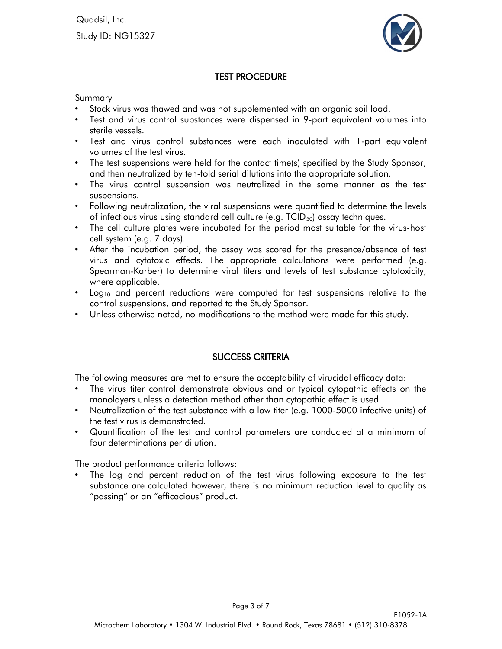

### <span id="page-2-0"></span>[TEST PROCEDURE](#page-2-0)

Summary

- Stock virus was thawed and was not supplemented with an organic soil load.
- Test and virus control substances were dispensed in 9-part equivalent volumes into sterile vessels.
- Test and virus control substances were each inoculated with 1-part equivalent volumes of the test virus.
- The test suspensions were held for the contact time(s) specified by the Study Sponsor, and then neutralized by ten-fold serial dilutions into the appropriate solution.
- The virus control suspension was neutralized in the same manner as the test suspensions.
- Following neutralization, the viral suspensions were quantified to determine the levels of infectious virus using standard cell culture (e.g.  $TCID_{50}$ ) assay techniques.
- The cell culture plates were incubated for the period most suitable for the virus-host cell system (e.g. 7 days).
- After the incubation period, the assay was scored for the presence/absence of test virus and cytotoxic effects. The appropriate calculations were performed (e.g. Spearman-Karber) to determine viral titers and levels of test substance cytotoxicity, where applicable.
- Log<sub>10</sub> and percent reductions were computed for test suspensions relative to the control suspensions, and reported to the Study Sponsor.
- Unless otherwise noted, no modifications to the method were made for this study.

### SUCCESS CRITERIA

The following measures are met to ensure the acceptability of virucidal efficacy data:

- The virus titer control demonstrate obvious and or typical cytopathic effects on the monolayers unless a detection method other than cytopathic effect is used.
- Neutralization of the test substance with a low titer (e.g. 1000-5000 infective units) of the test virus is demonstrated.
- Quantification of the test and control parameters are conducted at a minimum of four determinations per dilution.

The product performance criteria follows:

The log and percent reduction of the test virus following exposure to the test substance are calculated however, there is no minimum reduction level to qualify as "passing" or an "efficacious" product.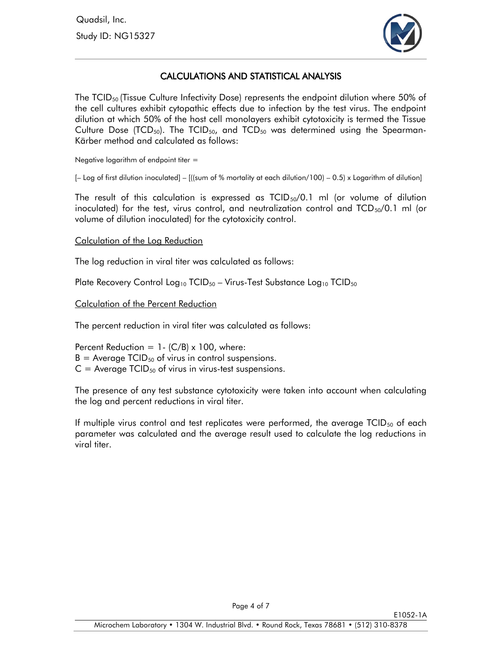

# CALCULATIONS AND STATISTICAL ANALYSIS

The  $TCID_{50}$  (Tissue Culture Infectivity Dose) represents the endpoint dilution where 50% of the cell cultures exhibit cytopathic effects due to infection by the test virus. The endpoint dilution at which 50% of the host cell monolayers exhibit cytotoxicity is termed the Tissue Culture Dose (TCD<sub>50</sub>). The TCID<sub>50</sub>, and TCD<sub>50</sub> was determined using the Spearman-Kärber method and calculated as follows:

Negative logarithm of endpoint titer =

 $[-$  Log of first dilution inoculated] –  $[($  (sum of % mortality at each dilution/100) – 0.5) x Logarithm of dilution]

The result of this calculation is expressed as  $TCID_{50}/0.1$  ml (or volume of dilution inoculated) for the test, virus control, and neutralization control and  $TCD_{50}/0.1$  ml (or volume of dilution inoculated) for the cytotoxicity control.

#### Calculation of the Log Reduction

The log reduction in viral titer was calculated as follows:

Plate Recovery Control Log<sub>10</sub> TCID<sub>50</sub> – Virus-Test Substance Log<sub>10</sub> TCID<sub>50</sub>

#### Calculation of the Percent Reduction

The percent reduction in viral titer was calculated as follows:

Percent Reduction =  $1 - (C/B) \times 100$ , where:  $B =$  Average TCID<sub>50</sub> of virus in control suspensions.  $C =$  Average TCID<sub>50</sub> of virus in virus-test suspensions.

The presence of any test substance cytotoxicity were taken into account when calculating the log and percent reductions in viral titer.

If multiple virus control and test replicates were performed, the average  $TCID_{50}$  of each parameter was calculated and the average result used to calculate the log reductions in viral titer.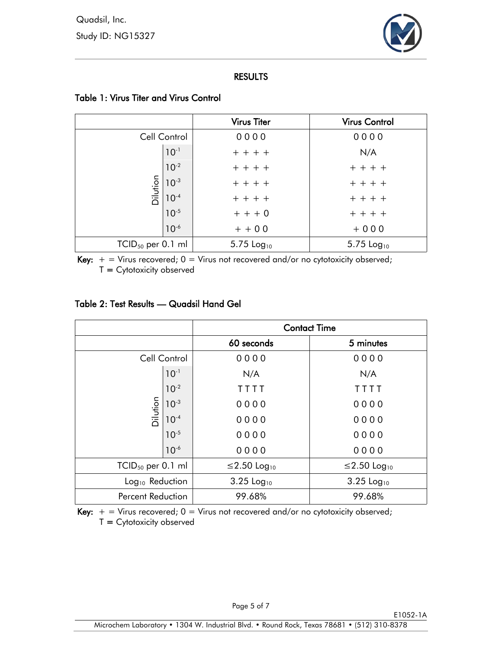

### RESULTS

|                     |                                                   | <b>Virus Titer</b>       | <b>Virus Control</b>     |
|---------------------|---------------------------------------------------|--------------------------|--------------------------|
|                     | Cell Control                                      | 0000                     | 0000                     |
|                     | $10^{-1}$                                         | $+ + + +$                | N/A                      |
|                     | $10^{-2}$                                         | $+ + + +$                | $+ + + +$                |
|                     | $\frac{15}{\overline{10}}\frac{10^{-3}}{10^{-4}}$ | $+ + + +$                | $+ + + +$                |
|                     |                                                   | $+ + + +$                | $+ + + +$                |
|                     | $10^{-5}$                                         | $+ + + 0$                | $+ + + +$                |
|                     | $10^{-6}$                                         | $+ + 00$                 | $+000$                   |
| $TCID50$ per 0.1 ml |                                                   | $5.75$ Log <sub>10</sub> | $5.75$ Log <sub>10</sub> |

# Table 1: Virus Titer and Virus Control

Key:  $+$  = Virus recovered;  $0$  = Virus not recovered and/or no cytotoxicity observed;  $T = C$ ytotoxicity observed

# Table 2: Test Results — Quadsil Hand Gel

|                             |              | <b>Contact Time</b>      |                         |
|-----------------------------|--------------|--------------------------|-------------------------|
|                             |              | 60 seconds               | 5 minutes               |
|                             | Cell Control | 0000                     | 0000                    |
|                             | $10^{-1}$    | N/A                      | N/A                     |
|                             | $10^{-2}$    | TTTT                     | TTTT                    |
| Dilution                    | $10^{-3}$    | 0000                     | 0000                    |
|                             | $10^{-4}$    | 0000                     | 0000                    |
|                             | $10^{-5}$    | 0000                     | 0000                    |
|                             | $10^{-6}$    | 0000                     | 0000                    |
| $TCID50$ per 0.1 ml         |              | ≤2.50 Log <sub>10</sub>  | ≤2.50 Log <sub>10</sub> |
| Log <sub>10</sub> Reduction |              | $3.25$ Log <sub>10</sub> | 3.25 Log <sub>10</sub>  |
| <b>Percent Reduction</b>    |              | 99.68%                   | 99.68%                  |

Key:  $+$  = Virus recovered; 0 = Virus not recovered and/or no cytotoxicity observed;  $T = Cytotoxicity observed$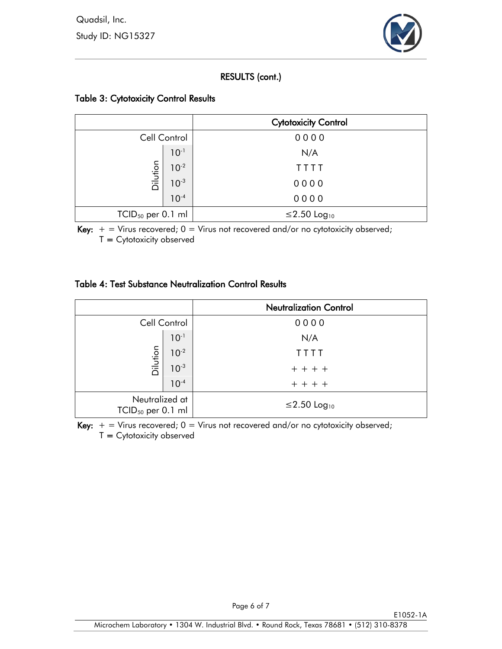

# RESULTS (cont.)

# Table 3: Cytotoxicity Control Results

|                        |           | <b>Cytotoxicity Control</b> |
|------------------------|-----------|-----------------------------|
| Cell Control           |           | 0000                        |
|                        | $10^{-1}$ | N/A                         |
| Dilution               | $10^{-2}$ | TTTT                        |
|                        | $10^{-3}$ | 0000                        |
|                        | $10^{-4}$ | 0000                        |
| $TCID_{50}$ per 0.1 ml |           | ≤2.50 Log <sub>10</sub>     |

Key:  $+$  = Virus recovered;  $0$  = Virus not recovered and/or no cytotoxicity observed;  $T = Cytotoxicity observed$ 

### Table 4: Test Substance Neutralization Control Results

|                                          |           | <b>Neutralization Control</b> |
|------------------------------------------|-----------|-------------------------------|
| Cell Control                             |           | 0000                          |
|                                          | $10^{-1}$ | N/A                           |
|                                          | $10^{-2}$ | TTTT                          |
| Dilution                                 | $10^{-3}$ | $+ + + +$                     |
|                                          | $10^{-4}$ | $+ + + +$                     |
| Neutralized at<br>$TCID_{50}$ per 0.1 ml |           | ≤2.50 Log <sub>10</sub>       |

Key:  $+$  = Virus recovered;  $0$  = Virus not recovered and/or no cytotoxicity observed;  $T = C$ ytotoxicity observed